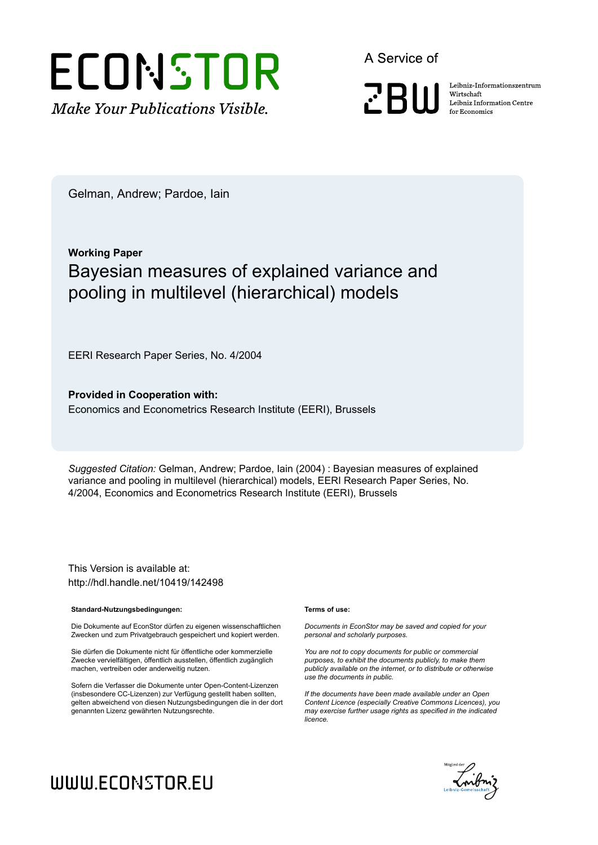

A Service of

**PRIII** 

Leibniz Informationszentrum Wirtschaft Leibniz Information Centre for Economics

Gelman, Andrew; Pardoe, Iain

## **Working Paper** Bayesian measures of explained variance and pooling in multilevel (hierarchical) models

EERI Research Paper Series, No. 4/2004

**Provided in Cooperation with:** Economics and Econometrics Research Institute (EERI), Brussels

*Suggested Citation:* Gelman, Andrew; Pardoe, Iain (2004) : Bayesian measures of explained variance and pooling in multilevel (hierarchical) models, EERI Research Paper Series, No. 4/2004, Economics and Econometrics Research Institute (EERI), Brussels

This Version is available at: http://hdl.handle.net/10419/142498

#### **Standard-Nutzungsbedingungen:**

Die Dokumente auf EconStor dürfen zu eigenen wissenschaftlichen Zwecken und zum Privatgebrauch gespeichert und kopiert werden.

Sie dürfen die Dokumente nicht für öffentliche oder kommerzielle Zwecke vervielfältigen, öffentlich ausstellen, öffentlich zugänglich machen, vertreiben oder anderweitig nutzen.

Sofern die Verfasser die Dokumente unter Open-Content-Lizenzen (insbesondere CC-Lizenzen) zur Verfügung gestellt haben sollten, gelten abweichend von diesen Nutzungsbedingungen die in der dort genannten Lizenz gewährten Nutzungsrechte.

#### **Terms of use:**

*Documents in EconStor may be saved and copied for your personal and scholarly purposes.*

*You are not to copy documents for public or commercial purposes, to exhibit the documents publicly, to make them publicly available on the internet, or to distribute or otherwise use the documents in public.*

*If the documents have been made available under an Open Content Licence (especially Creative Commons Licences), you may exercise further usage rights as specified in the indicated licence.*



# WWW.ECONSTOR.EU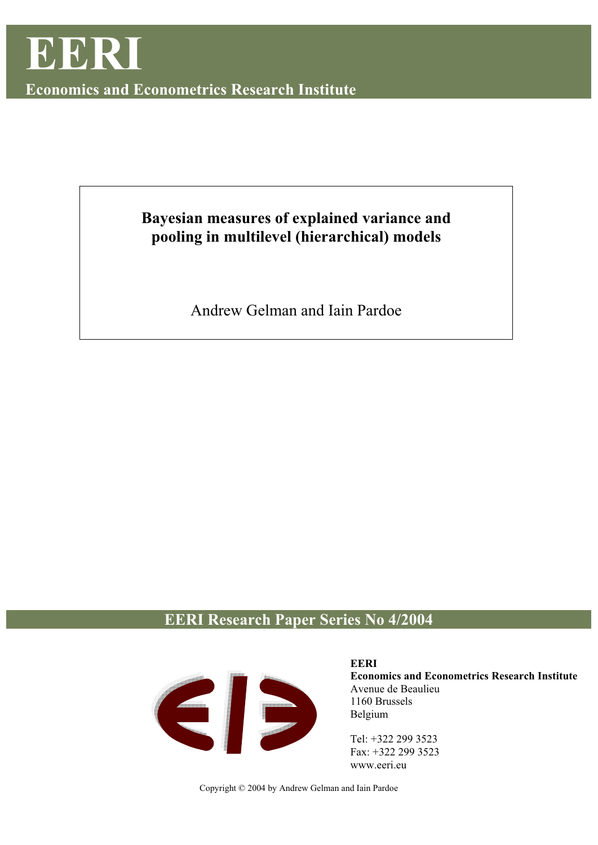

**Economics and Econometrics Research Institute** 

## **Bayesian measures of explained variance and pooling in multilevel (hierarchical) models**

Andrew Gelman and Iain Pardoe

## **EERI Research Paper Series No 4/2004**



**EERI Economics and Econometrics Research Institute**  Avenue de Beaulieu 1160 Brussels Belgium

Tel: +322 299 3523 Fax: +322 299 3523 www.eeri.eu

Copyright © 2004 by Andrew Gelman and Iain Pardoe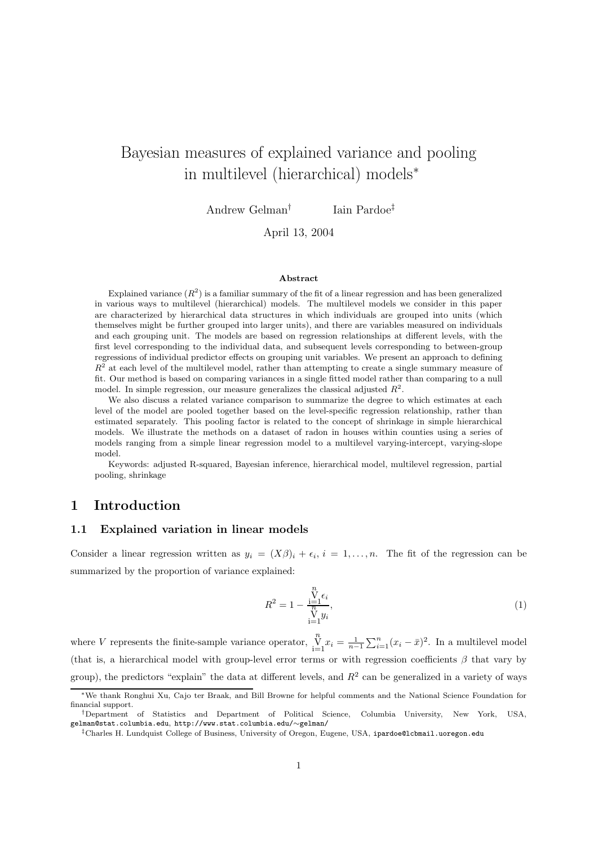## Bayesian measures of explained variance and pooling in multilevel (hierarchical) models<sup>∗</sup>

Andrew Gelman† Iain Pardoe‡

April 13, 2004

#### **Abstract**

Explained variance  $(R^2)$  is a familiar summary of the fit of a linear regression and has been generalized in various ways to multilevel (hierarchical) models. The multilevel models we consider in this paper are characterized by hierarchical data structures in which individuals are grouped into units (which themselves might be further grouped into larger units), and there are variables measured on individuals and each grouping unit. The models are based on regression relationships at different levels, with the first level corresponding to the individual data, and subsequent levels corresponding to between-group regressions of individual predictor effects on grouping unit variables. We present an approach to defining  $R<sup>2</sup>$  at each level of the multilevel model, rather than attempting to create a single summary measure of fit. Our method is based on comparing variances in a single fitted model rather than comparing to a null model. In simple regression, our measure generalizes the classical adjusted  $R^2$ .

We also discuss a related variance comparison to summarize the degree to which estimates at each level of the model are pooled together based on the level-specific regression relationship, rather than estimated separately. This pooling factor is related to the concept of shrinkage in simple hierarchical models. We illustrate the methods on a dataset of radon in houses within counties using a series of models ranging from a simple linear regression model to a multilevel varying-intercept, varying-slope model.

Keywords: adjusted R-squared, Bayesian inference, hierarchical model, multilevel regression, partial pooling, shrinkage

## **1 Introduction**

## **1.1 Explained variation in linear models**

Consider a linear regression written as  $y_i = (X\beta)_i + \epsilon_i$ ,  $i = 1, \ldots, n$ . The fit of the regression can be summarized by the proportion of variance explained:

$$
R^{2} = 1 - \frac{\sum_{i=1}^{n} \epsilon_{i}}{\sum_{i=1}^{n} y_{i}},
$$
\n(1)

where V represents the finite-sample variance operator,  $\prod_{i=1}^{n} x_i = \frac{1}{n-1} \sum_{i=1}^{n} (x_i - \bar{x})^2$ . In a multilevel model (that is, a hierarchical model with group-level error terms or with regression coefficients  $\beta$  that vary by group), the predictors "explain" the data at different levels, and  $R<sup>2</sup>$  can be generalized in a variety of ways

<sup>∗</sup>We thank Ronghui Xu, Cajo ter Braak, and Bill Browne for helpful comments and the National Science Foundation for financial support.

<sup>†</sup>Department of Statistics and Department of Political Science, Columbia University, New York, USA, gelman@stat.columbia.edu, http://www.stat.columbia.edu/∼gelman/

<sup>‡</sup>Charles H. Lundquist College of Business, University of Oregon, Eugene, USA, ipardoe@lcbmail.uoregon.edu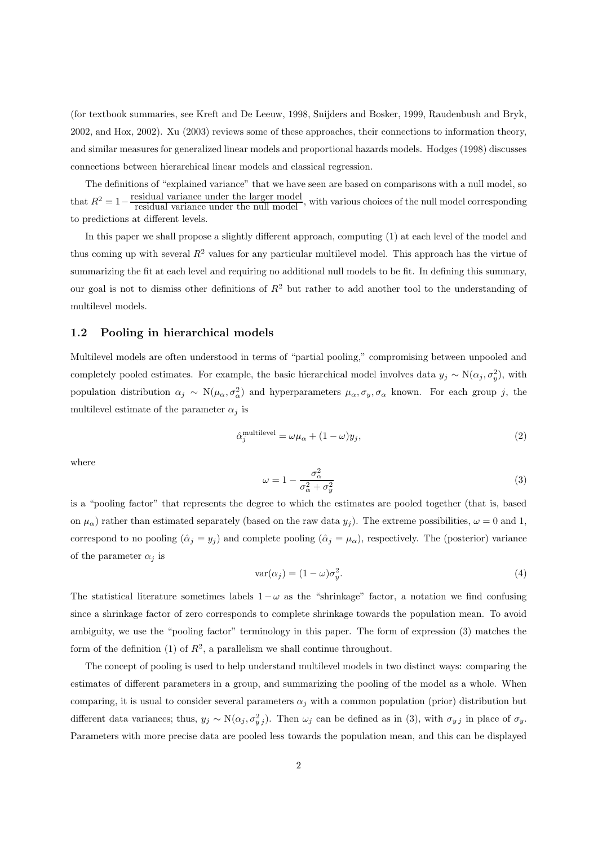(for textbook summaries, see Kreft and De Leeuw, 1998, Snijders and Bosker, 1999, Raudenbush and Bryk, 2002, and Hox, 2002). Xu (2003) reviews some of these approaches, their connections to information theory, and similar measures for generalized linear models and proportional hazards models. Hodges (1998) discusses connections between hierarchical linear models and classical regression.

The definitions of "explained variance" that we have seen are based on comparisons with a null model, so that  $R^2 = 1 - \frac{\text{residual variance under the larger model}}{\text{residual variance under the null model}},$  with various choices of the null model corresponding to predictions at different levels.

In this paper we shall propose a slightly different approach, computing (1) at each level of the model and thus coming up with several  $R^2$  values for any particular multilevel model. This approach has the virtue of summarizing the fit at each level and requiring no additional null models to be fit. In defining this summary, our goal is not to dismiss other definitions of  $R^2$  but rather to add another tool to the understanding of multilevel models.

## **1.2 Pooling in hierarchical models**

Multilevel models are often understood in terms of "partial pooling," compromising between unpooled and completely pooled estimates. For example, the basic hierarchical model involves data  $y_j \sim N(\alpha_j, \sigma_y^2)$ , with population distribution  $\alpha_j \sim N(\mu_\alpha, \sigma_\alpha^2)$  and hyperparameters  $\mu_\alpha, \sigma_y, \sigma_\alpha$  known. For each group j, the multilevel estimate of the parameter  $\alpha_j$  is

$$
\hat{\alpha}_j^{\text{multilevel}} = \omega \mu_\alpha + (1 - \omega)y_j,\tag{2}
$$

where

$$
\omega = 1 - \frac{\sigma_{\alpha}^2}{\sigma_{\alpha}^2 + \sigma_{y}^2} \tag{3}
$$

is a "pooling factor" that represents the degree to which the estimates are pooled together (that is, based on  $\mu_{\alpha}$ ) rather than estimated separately (based on the raw data  $y_j$ ). The extreme possibilities,  $\omega = 0$  and 1, correspond to no pooling  $(\hat{\alpha}_j = y_j)$  and complete pooling  $(\hat{\alpha}_j = \mu_\alpha)$ , respectively. The (posterior) variance of the parameter  $\alpha_i$  is

$$
var(\alpha_j) = (1 - \omega)\sigma_y^2.
$$
\n(4)

The statistical literature sometimes labels  $1-\omega$  as the "shrinkage" factor, a notation we find confusing since a shrinkage factor of zero corresponds to complete shrinkage towards the population mean. To avoid ambiguity, we use the "pooling factor" terminology in this paper. The form of expression (3) matches the form of the definition (1) of  $R^2$ , a parallelism we shall continue throughout.

The concept of pooling is used to help understand multilevel models in two distinct ways: comparing the estimates of different parameters in a group, and summarizing the pooling of the model as a whole. When comparing, it is usual to consider several parameters  $\alpha_i$  with a common population (prior) distribution but different data variances; thus,  $y_j \sim N(\alpha_j, \sigma_{y_j}^2)$ . Then  $\omega_j$  can be defined as in (3), with  $\sigma_{y_j}$  in place of  $\sigma_y$ . Parameters with more precise data are pooled less towards the population mean, and this can be displayed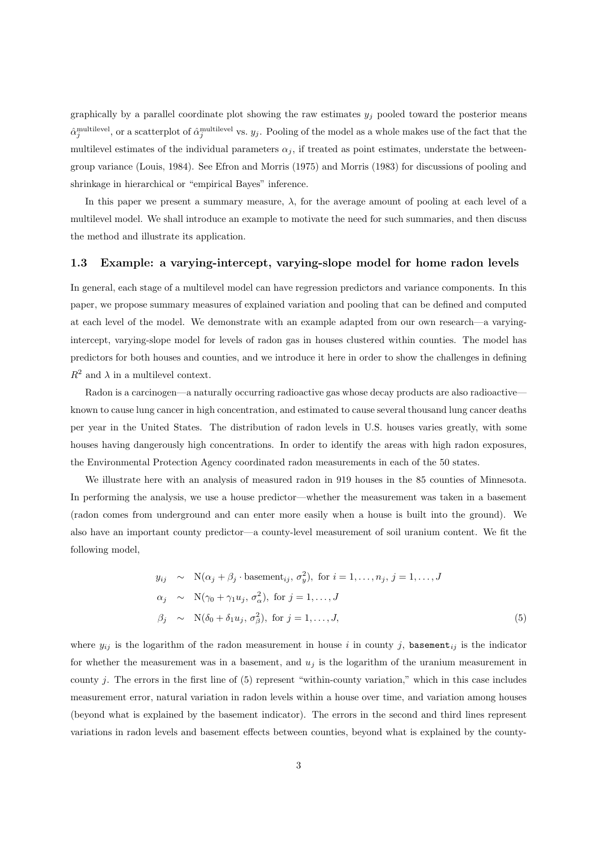graphically by a parallel coordinate plot showing the raw estimates  $y_i$  pooled toward the posterior means  $\hat{\alpha}_j^{\text{multilevel}}$ , or a scatterplot of  $\hat{\alpha}_j^{\text{multilevel}}$  vs.  $y_j$ . Pooling of the model as a whole makes use of the fact that the multilevel estimates of the individual parameters  $\alpha_i$ , if treated as point estimates, understate the betweengroup variance (Louis, 1984). See Efron and Morris (1975) and Morris (1983) for discussions of pooling and shrinkage in hierarchical or "empirical Bayes" inference.

In this paper we present a summary measure,  $\lambda$ , for the average amount of pooling at each level of a multilevel model. We shall introduce an example to motivate the need for such summaries, and then discuss the method and illustrate its application.

## **1.3 Example: a varying-intercept, varying-slope model for home radon levels**

In general, each stage of a multilevel model can have regression predictors and variance components. In this paper, we propose summary measures of explained variation and pooling that can be defined and computed at each level of the model. We demonstrate with an example adapted from our own research—a varyingintercept, varying-slope model for levels of radon gas in houses clustered within counties. The model has predictors for both houses and counties, and we introduce it here in order to show the challenges in defining  $R^2$  and  $\lambda$  in a multilevel context.

Radon is a carcinogen—a naturally occurring radioactive gas whose decay products are also radioactive known to cause lung cancer in high concentration, and estimated to cause several thousand lung cancer deaths per year in the United States. The distribution of radon levels in U.S. houses varies greatly, with some houses having dangerously high concentrations. In order to identify the areas with high radon exposures, the Environmental Protection Agency coordinated radon measurements in each of the 50 states.

We illustrate here with an analysis of measured radon in 919 houses in the 85 counties of Minnesota. In performing the analysis, we use a house predictor—whether the measurement was taken in a basement (radon comes from underground and can enter more easily when a house is built into the ground). We also have an important county predictor—a county-level measurement of soil uranium content. We fit the following model,

$$
y_{ij} \sim \mathcal{N}(\alpha_j + \beta_j \cdot \text{basement}_{ij}, \sigma_y^2), \text{ for } i = 1, ..., n_j, j = 1, ..., J
$$
  
\n
$$
\alpha_j \sim \mathcal{N}(\gamma_0 + \gamma_1 u_j, \sigma_\alpha^2), \text{ for } j = 1, ..., J
$$
  
\n
$$
\beta_j \sim \mathcal{N}(\delta_0 + \delta_1 u_j, \sigma_\beta^2), \text{ for } j = 1, ..., J,
$$
\n(5)

where  $y_{ij}$  is the logarithm of the radon measurement in house i in county j, basement<sub>ij</sub> is the indicator for whether the measurement was in a basement, and  $u_j$  is the logarithm of the uranium measurement in county j. The errors in the first line of  $(5)$  represent "within-county variation," which in this case includes measurement error, natural variation in radon levels within a house over time, and variation among houses (beyond what is explained by the basement indicator). The errors in the second and third lines represent variations in radon levels and basement effects between counties, beyond what is explained by the county-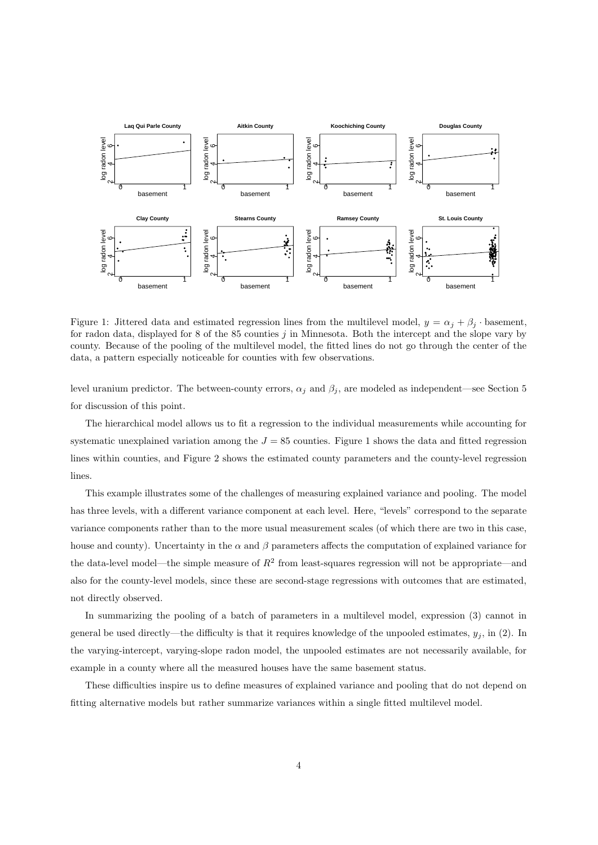

Figure 1: Jittered data and estimated regression lines from the multilevel model,  $y = \alpha_j + \beta_j$  · basement, for radon data, displayed for 8 of the 85 counties j in Minnesota. Both the intercept and the slope vary by county. Because of the pooling of the multilevel model, the fitted lines do not go through the center of the data, a pattern especially noticeable for counties with few observations.

level uranium predictor. The between-county errors,  $\alpha_j$  and  $\beta_j$ , are modeled as independent—see Section 5 for discussion of this point.

The hierarchical model allows us to fit a regression to the individual measurements while accounting for systematic unexplained variation among the  $J = 85$  counties. Figure 1 shows the data and fitted regression lines within counties, and Figure 2 shows the estimated county parameters and the county-level regression lines.

This example illustrates some of the challenges of measuring explained variance and pooling. The model has three levels, with a different variance component at each level. Here, "levels" correspond to the separate variance components rather than to the more usual measurement scales (of which there are two in this case, house and county). Uncertainty in the  $\alpha$  and  $\beta$  parameters affects the computation of explained variance for the data-level model—the simple measure of  $R^2$  from least-squares regression will not be appropriate—and also for the county-level models, since these are second-stage regressions with outcomes that are estimated, not directly observed.

In summarizing the pooling of a batch of parameters in a multilevel model, expression (3) cannot in general be used directly—the difficulty is that it requires knowledge of the unpooled estimates,  $y_j$ , in (2). In the varying-intercept, varying-slope radon model, the unpooled estimates are not necessarily available, for example in a county where all the measured houses have the same basement status.

These difficulties inspire us to define measures of explained variance and pooling that do not depend on fitting alternative models but rather summarize variances within a single fitted multilevel model.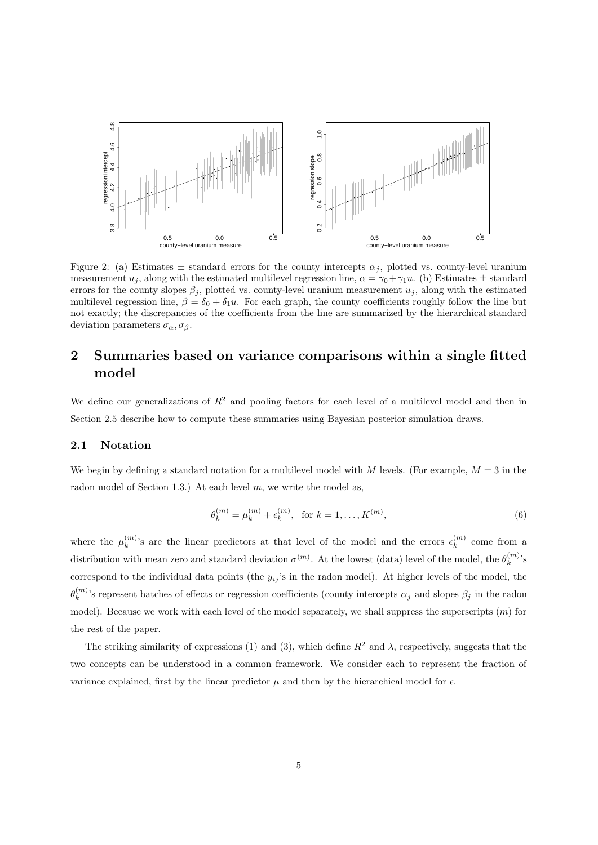

Figure 2: (a) Estimates  $\pm$  standard errors for the county intercepts  $\alpha_j$ , plotted vs. county-level uranium measurement  $u_j$ , along with the estimated multilevel regression line,  $\alpha = \gamma_0 + \gamma_1 u$ . (b) Estimates  $\pm$  standard errors for the county slopes  $\beta_j$ , plotted vs. county-level uranium measurement  $u_j$ , along with the estimated multilevel regression line,  $\beta = \delta_0 + \delta_1 u$ . For each graph, the county coefficients roughly follow the line but not exactly; the discrepancies of the coefficients from the line are summarized by the hierarchical standard deviation parameters  $\sigma_{\alpha}, \sigma_{\beta}$ .

## **2 Summaries based on variance comparisons within a single fitted model**

We define our generalizations of  $R^2$  and pooling factors for each level of a multilevel model and then in Section 2.5 describe how to compute these summaries using Bayesian posterior simulation draws.

## **2.1 Notation**

We begin by defining a standard notation for a multilevel model with M levels. (For example,  $M = 3$  in the radon model of Section 1.3.) At each level  $m$ , we write the model as,

$$
\theta_k^{(m)} = \mu_k^{(m)} + \epsilon_k^{(m)}, \text{ for } k = 1, \dots, K^{(m)},
$$
\n(6)

where the  $\mu_k^{(m)}$ 's are the linear predictors at that level of the model and the errors  $\epsilon_k^{(m)}$  come from a distribution with mean zero and standard deviation  $\sigma^{(m)}$ . At the lowest (data) level of the model, the  $\theta_k^{(m)}$ 's correspond to the individual data points (the  $y_{ij}$ 's in the radon model). At higher levels of the model, the  $\theta_k^{(m)}$ 's represent batches of effects or regression coefficients (county intercepts  $\alpha_j$  and slopes  $\beta_j$  in the radon model). Because we work with each level of the model separately, we shall suppress the superscripts  $(m)$  for the rest of the paper.

The striking similarity of expressions (1) and (3), which define  $R^2$  and  $\lambda$ , respectively, suggests that the two concepts can be understood in a common framework. We consider each to represent the fraction of variance explained, first by the linear predictor  $\mu$  and then by the hierarchical model for  $\epsilon$ .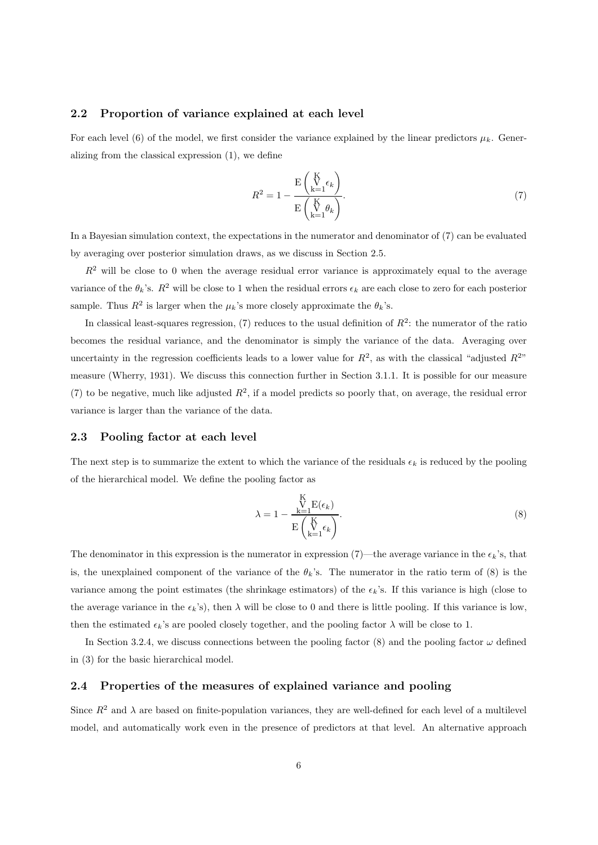## **2.2 Proportion of variance explained at each level**

For each level (6) of the model, we first consider the variance explained by the linear predictors  $\mu_k$ . Generalizing from the classical expression (1), we define

$$
R^{2} = 1 - \frac{\mathrm{E}\left(\int_{k=1}^{K} \epsilon_{k}\right)}{\mathrm{E}\left(\int_{k=1}^{K} \theta_{k}\right)}.
$$
\n
$$
(7)
$$

In a Bayesian simulation context, the expectations in the numerator and denominator of (7) can be evaluated by averaging over posterior simulation draws, as we discuss in Section 2.5.

 $R<sup>2</sup>$  will be close to 0 when the average residual error variance is approximately equal to the average variance of the  $\theta_k$ 's.  $R^2$  will be close to 1 when the residual errors  $\epsilon_k$  are each close to zero for each posterior sample. Thus  $R^2$  is larger when the  $\mu_k$ 's more closely approximate the  $\theta_k$ 's.

In classical least-squares regression, (7) reduces to the usual definition of  $R^2$ : the numerator of the ratio becomes the residual variance, and the denominator is simply the variance of the data. Averaging over uncertainty in the regression coefficients leads to a lower value for  $R^2$ , as with the classical "adjusted  $R^{2n}$ " measure (Wherry, 1931). We discuss this connection further in Section 3.1.1. It is possible for our measure (7) to be negative, much like adjusted  $R^2$ , if a model predicts so poorly that, on average, the residual error variance is larger than the variance of the data.

## **2.3 Pooling factor at each level**

The next step is to summarize the extent to which the variance of the residuals  $\epsilon_k$  is reduced by the pooling of the hierarchical model. We define the pooling factor as

$$
\lambda = 1 - \frac{\sum_{k=1}^{K} E(\epsilon_k)}{E\left(\sum_{k=1}^{K} \epsilon_k\right)}.
$$
\n(8)

The denominator in this expression is the numerator in expression (7)—the average variance in the  $\epsilon_k$ 's, that is, the unexplained component of the variance of the  $\theta_k$ 's. The numerator in the ratio term of (8) is the variance among the point estimates (the shrinkage estimators) of the  $\epsilon_k$ 's. If this variance is high (close to the average variance in the  $\epsilon_k$ 's), then  $\lambda$  will be close to 0 and there is little pooling. If this variance is low, then the estimated  $\epsilon_k$ 's are pooled closely together, and the pooling factor  $\lambda$  will be close to 1.

In Section 3.2.4, we discuss connections between the pooling factor (8) and the pooling factor  $\omega$  defined in (3) for the basic hierarchical model.

#### **2.4 Properties of the measures of explained variance and pooling**

Since  $R^2$  and  $\lambda$  are based on finite-population variances, they are well-defined for each level of a multilevel model, and automatically work even in the presence of predictors at that level. An alternative approach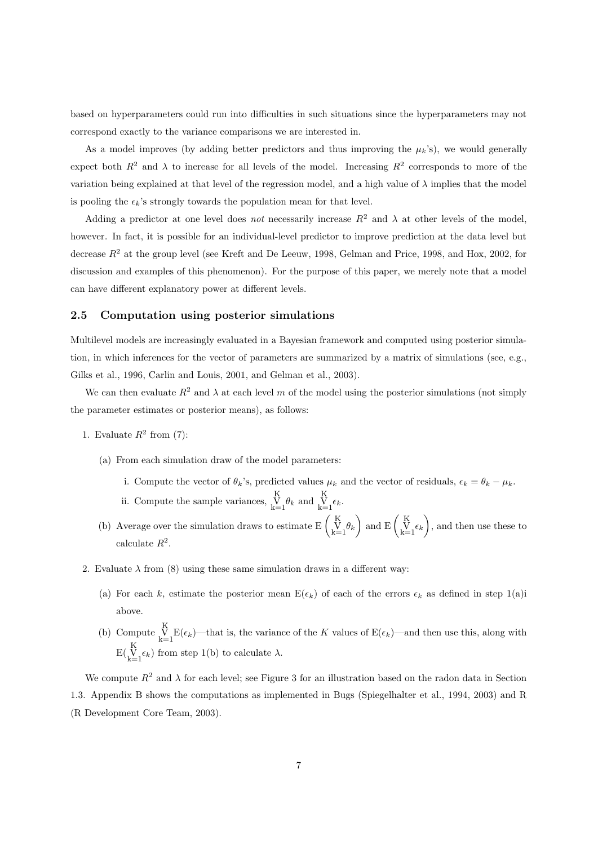based on hyperparameters could run into difficulties in such situations since the hyperparameters may not correspond exactly to the variance comparisons we are interested in.

As a model improves (by adding better predictors and thus improving the  $\mu_k$ 's), we would generally expect both  $R^2$  and  $\lambda$  to increase for all levels of the model. Increasing  $R^2$  corresponds to more of the variation being explained at that level of the regression model, and a high value of  $\lambda$  implies that the model is pooling the  $\epsilon_k$ 's strongly towards the population mean for that level.

Adding a predictor at one level does *not* necessarily increase  $R^2$  and  $\lambda$  at other levels of the model. however. In fact, it is possible for an individual-level predictor to improve prediction at the data level but decrease  $R^2$  at the group level (see Kreft and De Leeuw, 1998, Gelman and Price, 1998, and Hox, 2002, for discussion and examples of this phenomenon). For the purpose of this paper, we merely note that a model can have different explanatory power at different levels.

### **2.5 Computation using posterior simulations**

Multilevel models are increasingly evaluated in a Bayesian framework and computed using posterior simulation, in which inferences for the vector of parameters are summarized by a matrix of simulations (see, e.g., Gilks et al., 1996, Carlin and Louis, 2001, and Gelman et al., 2003).

We can then evaluate  $R^2$  and  $\lambda$  at each level m of the model using the posterior simulations (not simply the parameter estimates or posterior means), as follows:

- 1. Evaluate  $R^2$  from (7):
	- (a) From each simulation draw of the model parameters:
		- i. Compute the vector of  $\theta_k$ 's, predicted values  $\mu_k$  and the vector of residuals,  $\epsilon_k = \theta_k \mu_k$ .
		- ii. Compute the sample variances, V K  $\sum_{k=1}^{K} \theta_k$  and  $\sum_{k=1}^{K} \epsilon_k$ .
	- (b) Average over the simulation draws to estimate  $E\left(\begin{array}{c} K \\ V \end{array}\right)$  $\begin{pmatrix} K \\ V \\ k=1 \end{pmatrix}$  and  $E\begin{pmatrix} K \\ V \\ k=1 \end{pmatrix}$ , and then use these to calculate  $R^2$ .
- 2. Evaluate  $\lambda$  from (8) using these same simulation draws in a different way:
	- (a) For each k, estimate the posterior mean  $E(\epsilon_k)$  of each of the errors  $\epsilon_k$  as defined in step 1(a)i above.
	- (b) Compute  $\bigvee_{k=1}^{K} E(\epsilon_k)$ —that is, the variance of the K values of  $E(\epsilon_k)$ —and then use this, along with  $E\left(\bigvee_{k=1}^{K} \epsilon_k\right)$  from step 1(b) to calculate  $\lambda$ .

We compute  $R^2$  and  $\lambda$  for each level; see Figure 3 for an illustration based on the radon data in Section 1.3. Appendix B shows the computations as implemented in Bugs (Spiegelhalter et al., 1994, 2003) and R (R Development Core Team, 2003).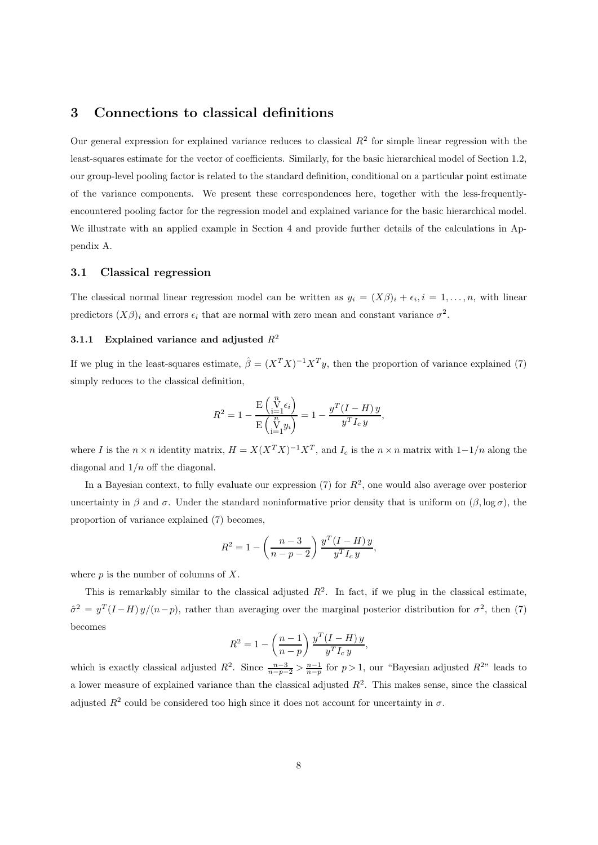## **3 Connections to classical definitions**

Our general expression for explained variance reduces to classical  $R<sup>2</sup>$  for simple linear regression with the least-squares estimate for the vector of coefficients. Similarly, for the basic hierarchical model of Section 1.2, our group-level pooling factor is related to the standard definition, conditional on a particular point estimate of the variance components. We present these correspondences here, together with the less-frequentlyencountered pooling factor for the regression model and explained variance for the basic hierarchical model. We illustrate with an applied example in Section 4 and provide further details of the calculations in Appendix A.

## **3.1 Classical regression**

The classical normal linear regression model can be written as  $y_i = (X\beta)_i + \epsilon_i, i = 1,\ldots,n$ , with linear predictors  $(X\beta)_i$  and errors  $\epsilon_i$  that are normal with zero mean and constant variance  $\sigma^2$ .

## **3.1.1 Explained variance and adjusted**  $R^2$

If we plug in the least-squares estimate,  $\hat{\beta} = (X^T X)^{-1} X^T y$ , then the proportion of variance explained (7) simply reduces to the classical definition,

$$
R^2 = 1 - \frac{\mathrm{E}\begin{pmatrix} v \\ v-1 \end{pmatrix} \epsilon_i}{\mathrm{E}\begin{pmatrix} v \\ v-1 \end{pmatrix}} = 1 - \frac{y^T(I-H)y}{y^T I_c y},
$$

where I is the  $n \times n$  identity matrix,  $H = X(X^T X)^{-1} X^T$ , and  $I_c$  is the  $n \times n$  matrix with  $1-\frac{1}{n}$  along the diagonal and  $1/n$  off the diagonal.

In a Bayesian context, to fully evaluate our expression  $(7)$  for  $R<sup>2</sup>$ , one would also average over posterior uncertainty in  $\beta$  and  $\sigma$ . Under the standard noninformative prior density that is uniform on  $(\beta, \log \sigma)$ , the proportion of variance explained (7) becomes,

$$
R^{2} = 1 - \left(\frac{n-3}{n-p-2}\right) \frac{y^{T} (I - H) y}{y^{T} I_{c} y},
$$

where  $p$  is the number of columns of  $X$ .

This is remarkably similar to the classical adjusted  $R^2$ . In fact, if we plug in the classical estimate,  $\hat{\sigma}^2 = y^T (I - H) y/(n-p)$ , rather than averaging over the marginal posterior distribution for  $\sigma^2$ , then (7) becomes

$$
R^2 = 1 - \left(\frac{n-1}{n-p}\right) \frac{y^T (I - H) y}{y^T I_c y},
$$

which is exactly classical adjusted  $R^2$ . Since  $\frac{n-3}{n-p-2} > \frac{n-1}{n-p}$  for  $p > 1$ , our "Bayesian adjusted  $R^{2n}$  leads to a lower measure of explained variance than the classical adjusted  $R<sup>2</sup>$ . This makes sense, since the classical adjusted  $R^2$  could be considered too high since it does not account for uncertainty in  $\sigma$ .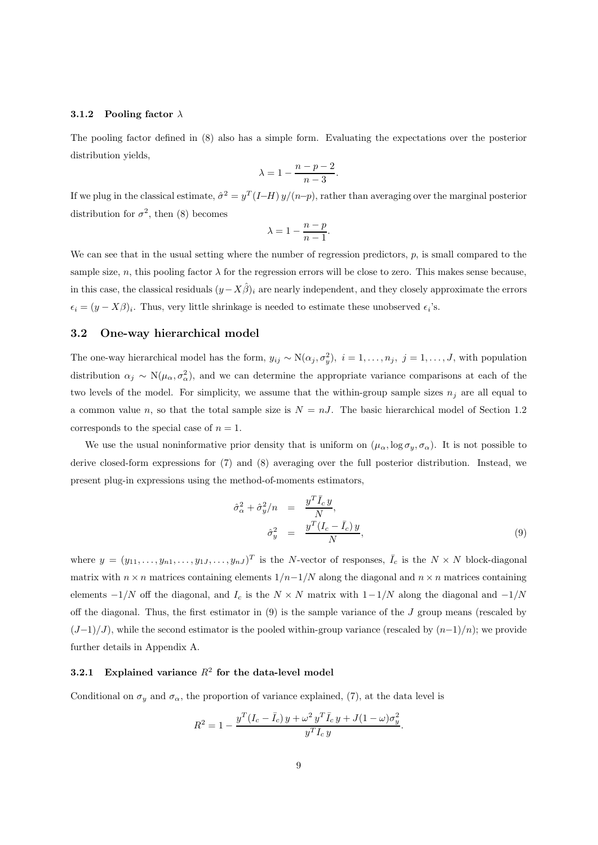#### **3.1.2 Pooling factor** λ

The pooling factor defined in (8) also has a simple form. Evaluating the expectations over the posterior distribution yields,

$$
\lambda = 1 - \frac{n - p - 2}{n - 3}.
$$

If we plug in the classical estimate,  $\hat{\sigma}^2 = y^T (I-H) y/(n-p)$ , rather than averaging over the marginal posterior distribution for  $\sigma^2$ , then (8) becomes

$$
\lambda = 1 - \frac{n-p}{n-1}.
$$

We can see that in the usual setting where the number of regression predictors,  $p$ , is small compared to the sample size, n, this pooling factor  $\lambda$  for the regression errors will be close to zero. This makes sense because, in this case, the classical residuals  $(y-X\hat{\beta})_i$  are nearly independent, and they closely approximate the errors  $\epsilon_i = (y - X\beta)_i$ . Thus, very little shrinkage is needed to estimate these unobserved  $\epsilon_i$ 's.

#### **3.2 One-way hierarchical model**

The one-way hierarchical model has the form,  $y_{ij} \sim N(\alpha_j, \sigma_y^2)$ ,  $i = 1, \ldots, n_j$ ,  $j = 1, \ldots, J$ , with population distribution  $\alpha_j \sim N(\mu_\alpha, \sigma_\alpha^2)$ , and we can determine the appropriate variance comparisons at each of the two levels of the model. For simplicity, we assume that the within-group sample sizes  $n_j$  are all equal to a common value n, so that the total sample size is  $N = nJ$ . The basic hierarchical model of Section 1.2 corresponds to the special case of  $n = 1$ .

We use the usual noninformative prior density that is uniform on  $(\mu_{\alpha}, \log \sigma_y, \sigma_{\alpha})$ . It is not possible to derive closed-form expressions for (7) and (8) averaging over the full posterior distribution. Instead, we present plug-in expressions using the method-of-moments estimators,

$$
\hat{\sigma}_{\alpha}^{2} + \hat{\sigma}_{y}^{2}/n = \frac{y^{T} \bar{I}_{c} y}{N},
$$

$$
\hat{\sigma}_{y}^{2} = \frac{y^{T} (I_{c} - \bar{I}_{c}) y}{N},
$$
\n(9)

where  $y = (y_{11}, \ldots, y_{n1}, \ldots, y_{1J}, \ldots, y_{nJ})^T$  is the N-vector of responses,  $\overline{I}_c$  is the  $N \times N$  block-diagonal matrix with  $n \times n$  matrices containing elements  $1/n-1/N$  along the diagonal and  $n \times n$  matrices containing elements  $-1/N$  off the diagonal, and  $I_c$  is the  $N \times N$  matrix with  $1-\frac{1}{N}$  along the diagonal and  $-\frac{1}{N}$ off the diagonal. Thus, the first estimator in  $(9)$  is the sample variance of the J group means (rescaled by  $(J-1)/J$ , while the second estimator is the pooled within-group variance (rescaled by  $(n-1)/n$ ); we provide further details in Appendix A.

## **3.2.1 Explained variance** R<sup>2</sup> **for the data-level model**

Conditional on  $\sigma_y$  and  $\sigma_\alpha$ , the proportion of variance explained, (7), at the data level is

$$
R^{2} = 1 - \frac{y^{T}(I_{c} - \bar{I}_{c})y + \omega^{2} y^{T} \bar{I}_{c} y + J(1 - \omega)\sigma_{y}^{2}}{y^{T} I_{c} y}.
$$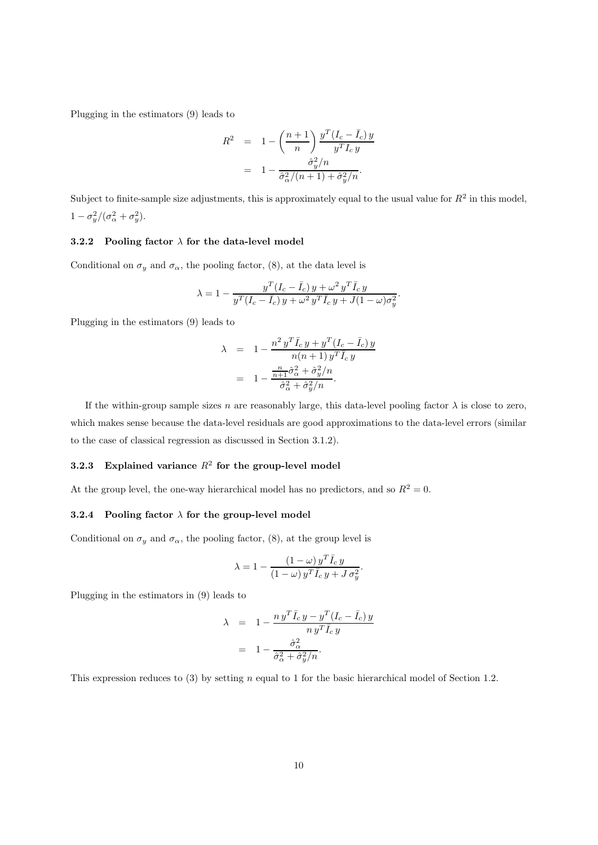Plugging in the estimators (9) leads to

$$
R^{2} = 1 - \left(\frac{n+1}{n}\right) \frac{y^{T} (I_{c} - \bar{I}_{c}) y}{y^{T} I_{c} y}
$$

$$
= 1 - \frac{\hat{\sigma}_{y}^{2} / n}{\hat{\sigma}_{\alpha}^{2} / (n+1) + \hat{\sigma}_{y}^{2} / n}.
$$

Subject to finite-sample size adjustments, this is approximately equal to the usual value for  $R^2$  in this model,  $1 - \sigma_y^2/(\sigma_\alpha^2 + \sigma_y^2)$ .

## **3.2.2 Pooling factor** λ **for the data-level model**

Conditional on  $\sigma_y$  and  $\sigma_\alpha$ , the pooling factor, (8), at the data level is

$$
\lambda = 1 - \frac{y^T (I_c - \bar{I}_c) y + \omega^2 y^T \bar{I}_c y}{y^T (I_c - \bar{I}_c) y + \omega^2 y^T \bar{I}_c y + J (1 - \omega) \sigma_y^2}.
$$

Plugging in the estimators (9) leads to

$$
\lambda = 1 - \frac{n^2 y^T \bar{I}_c y + y^T (I_c - \bar{I}_c) y}{n(n+1) y^T \bar{I}_c y}
$$

$$
= 1 - \frac{\frac{n}{n+1} \hat{\sigma}_\alpha^2 + \hat{\sigma}_y^2 / n}{\hat{\sigma}_\alpha^2 + \hat{\sigma}_y^2 / n}.
$$

If the within-group sample sizes n are reasonably large, this data-level pooling factor  $\lambda$  is close to zero, which makes sense because the data-level residuals are good approximations to the data-level errors (similar to the case of classical regression as discussed in Section 3.1.2).

## **3.2.3** Explained variance  $R^2$  for the group-level model

At the group level, the one-way hierarchical model has no predictors, and so  $R^2 = 0$ .

## **3.2.4 Pooling factor** λ **for the group-level model**

Conditional on  $\sigma_y$  and  $\sigma_\alpha$ , the pooling factor, (8), at the group level is

$$
\lambda = 1 - \frac{\left(1 - \omega\right)y^T \bar{I}_c y}{\left(1 - \omega\right)y^T \bar{I}_c y + J \sigma_y^2}.
$$

Plugging in the estimators in (9) leads to

$$
\lambda = 1 - \frac{n y^T \bar{I}_c y - y^T (I_c - \bar{I}_c) y}{n y^T \bar{I}_c y}
$$

$$
= 1 - \frac{\hat{\sigma}_\alpha^2}{\hat{\sigma}_\alpha^2 + \hat{\sigma}_y^2 / n}.
$$

This expression reduces to (3) by setting n equal to 1 for the basic hierarchical model of Section 1.2.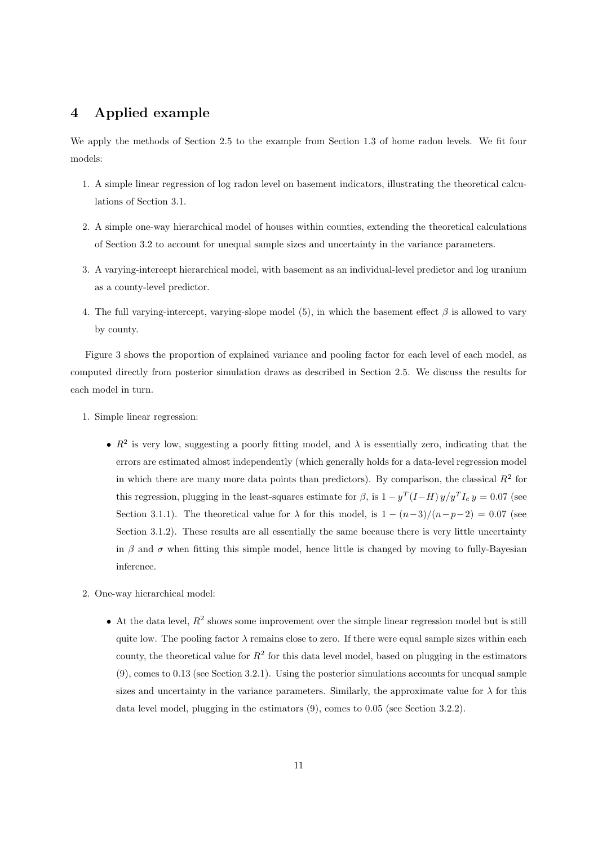## **4 Applied example**

We apply the methods of Section 2.5 to the example from Section 1.3 of home radon levels. We fit four models:

- 1. A simple linear regression of log radon level on basement indicators, illustrating the theoretical calculations of Section 3.1.
- 2. A simple one-way hierarchical model of houses within counties, extending the theoretical calculations of Section 3.2 to account for unequal sample sizes and uncertainty in the variance parameters.
- 3. A varying-intercept hierarchical model, with basement as an individual-level predictor and log uranium as a county-level predictor.
- 4. The full varying-intercept, varying-slope model (5), in which the basement effect  $\beta$  is allowed to vary by county.

Figure 3 shows the proportion of explained variance and pooling factor for each level of each model, as computed directly from posterior simulation draws as described in Section 2.5. We discuss the results for each model in turn.

- 1. Simple linear regression:
	- $R^2$  is very low, suggesting a poorly fitting model, and  $\lambda$  is essentially zero, indicating that the errors are estimated almost independently (which generally holds for a data-level regression model in which there are many more data points than predictors). By comparison, the classical  $R<sup>2</sup>$  for this regression, plugging in the least-squares estimate for  $\beta$ , is  $1 - y^T (I - H) y / y^T I_c y = 0.07$  (see Section 3.1.1). The theoretical value for  $\lambda$  for this model, is  $1 - (n-3)/(n-p-2) = 0.07$  (see Section 3.1.2). These results are all essentially the same because there is very little uncertainty in β and  $\sigma$  when fitting this simple model, hence little is changed by moving to fully-Bayesian inference.
- 2. One-way hierarchical model:
	- At the data level,  $R^2$  shows some improvement over the simple linear regression model but is still quite low. The pooling factor  $\lambda$  remains close to zero. If there were equal sample sizes within each county, the theoretical value for  $R^2$  for this data level model, based on plugging in the estimators (9), comes to 0.13 (see Section 3.2.1). Using the posterior simulations accounts for unequal sample sizes and uncertainty in the variance parameters. Similarly, the approximate value for  $\lambda$  for this data level model, plugging in the estimators (9), comes to 0.05 (see Section 3.2.2).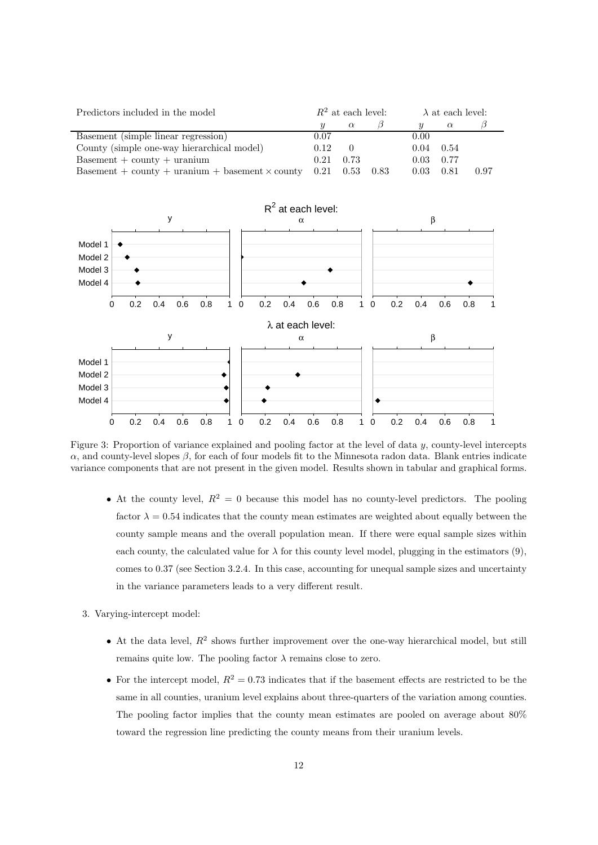| Predictors included in the model                                 | $R^2$ at each level: |          |      | $\lambda$ at each level: |          |      |
|------------------------------------------------------------------|----------------------|----------|------|--------------------------|----------|------|
|                                                                  |                      | $\alpha$ |      |                          | $\alpha$ |      |
| Basement (simple linear regression)                              | 0.07                 |          |      | 0.00                     |          |      |
| County (simple one-way hierarchical model)                       | 0.12                 | $\theta$ |      | $0.04$ 0.54              |          |      |
| $Basement + county + uranium$                                    | 0.21                 | 0.73     |      | $0.03 \quad 0.77$        |          |      |
| Basement + county + uranium + basement $\times$ county 0.21 0.53 |                      |          | 0.83 | 0.03                     | 0.81     | 0.97 |



Figure 3: Proportion of variance explained and pooling factor at the level of data y, county-level intercepts α, and county-level slopes β, for each of four models fit to the Minnesota radon data. Blank entries indicate variance components that are not present in the given model. Results shown in tabular and graphical forms.

- At the county level,  $R^2 = 0$  because this model has no county-level predictors. The pooling factor  $\lambda = 0.54$  indicates that the county mean estimates are weighted about equally between the county sample means and the overall population mean. If there were equal sample sizes within each county, the calculated value for  $\lambda$  for this county level model, plugging in the estimators (9), comes to 0.37 (see Section 3.2.4. In this case, accounting for unequal sample sizes and uncertainty in the variance parameters leads to a very different result.
- 3. Varying-intercept model:
	- At the data level,  $R^2$  shows further improvement over the one-way hierarchical model, but still remains quite low. The pooling factor  $\lambda$  remains close to zero.
	- For the intercept model,  $R^2 = 0.73$  indicates that if the basement effects are restricted to be the same in all counties, uranium level explains about three-quarters of the variation among counties. The pooling factor implies that the county mean estimates are pooled on average about 80% toward the regression line predicting the county means from their uranium levels.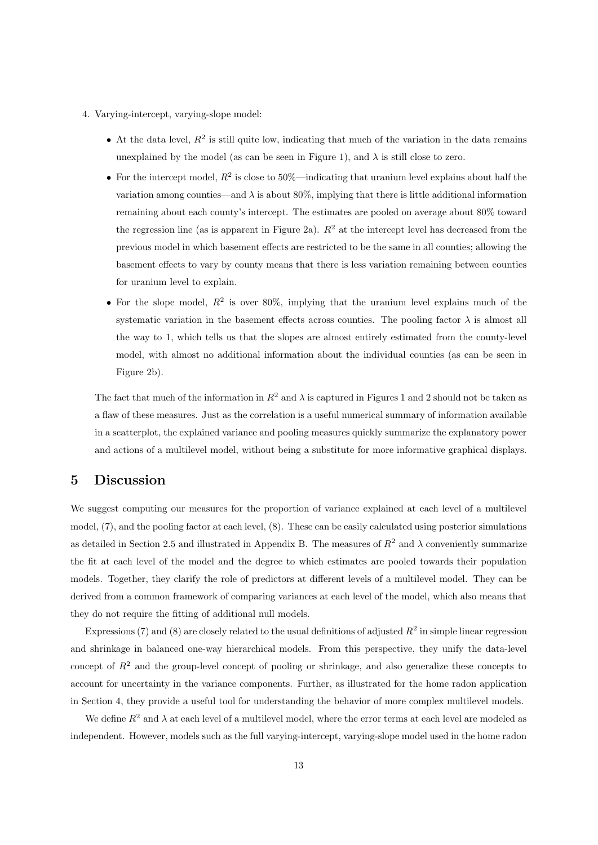- 4. Varying-intercept, varying-slope model:
	- At the data level,  $R^2$  is still quite low, indicating that much of the variation in the data remains unexplained by the model (as can be seen in Figure 1), and  $\lambda$  is still close to zero.
	- For the intercept model,  $R^2$  is close to 50%—indicating that uranium level explains about half the variation among counties—and  $\lambda$  is about 80%, implying that there is little additional information remaining about each county's intercept. The estimates are pooled on average about 80% toward the regression line (as is apparent in Figure 2a).  $R^2$  at the intercept level has decreased from the previous model in which basement effects are restricted to be the same in all counties; allowing the basement effects to vary by county means that there is less variation remaining between counties for uranium level to explain.
	- For the slope model,  $R^2$  is over 80%, implying that the uranium level explains much of the systematic variation in the basement effects across counties. The pooling factor  $\lambda$  is almost all the way to 1, which tells us that the slopes are almost entirely estimated from the county-level model, with almost no additional information about the individual counties (as can be seen in Figure 2b).

The fact that much of the information in  $R^2$  and  $\lambda$  is captured in Figures 1 and 2 should not be taken as a flaw of these measures. Just as the correlation is a useful numerical summary of information available in a scatterplot, the explained variance and pooling measures quickly summarize the explanatory power and actions of a multilevel model, without being a substitute for more informative graphical displays.

## **5 Discussion**

We suggest computing our measures for the proportion of variance explained at each level of a multilevel model, (7), and the pooling factor at each level, (8). These can be easily calculated using posterior simulations as detailed in Section 2.5 and illustrated in Appendix B. The measures of  $R^2$  and  $\lambda$  conveniently summarize the fit at each level of the model and the degree to which estimates are pooled towards their population models. Together, they clarify the role of predictors at different levels of a multilevel model. They can be derived from a common framework of comparing variances at each level of the model, which also means that they do not require the fitting of additional null models.

Expressions (7) and (8) are closely related to the usual definitions of adjusted  $R^2$  in simple linear regression and shrinkage in balanced one-way hierarchical models. From this perspective, they unify the data-level concept of  $R<sup>2</sup>$  and the group-level concept of pooling or shrinkage, and also generalize these concepts to account for uncertainty in the variance components. Further, as illustrated for the home radon application in Section 4, they provide a useful tool for understanding the behavior of more complex multilevel models.

We define  $R^2$  and  $\lambda$  at each level of a multilevel model, where the error terms at each level are modeled as independent. However, models such as the full varying-intercept, varying-slope model used in the home radon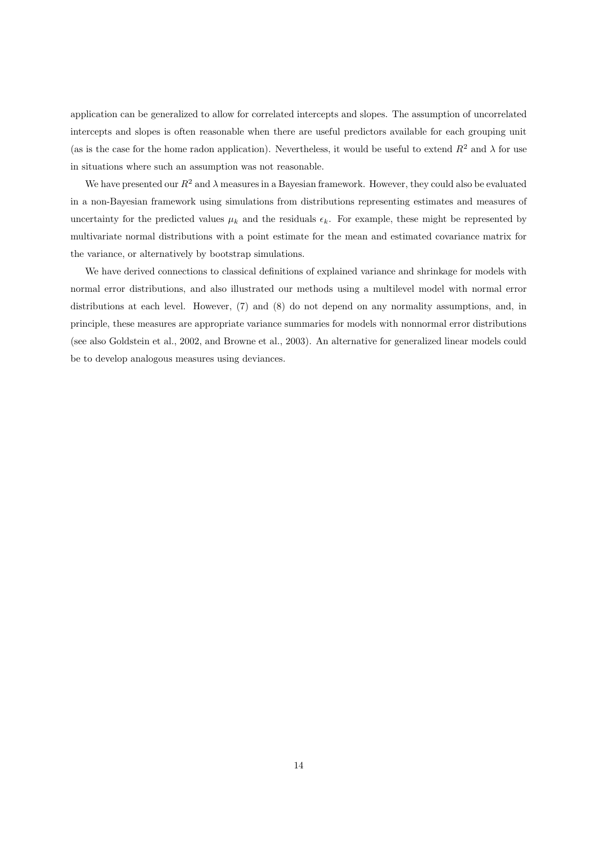application can be generalized to allow for correlated intercepts and slopes. The assumption of uncorrelated intercepts and slopes is often reasonable when there are useful predictors available for each grouping unit (as is the case for the home radon application). Nevertheless, it would be useful to extend  $R^2$  and  $\lambda$  for use in situations where such an assumption was not reasonable.

We have presented our  $R^2$  and  $\lambda$  measures in a Bayesian framework. However, they could also be evaluated in a non-Bayesian framework using simulations from distributions representing estimates and measures of uncertainty for the predicted values  $\mu_k$  and the residuals  $\epsilon_k$ . For example, these might be represented by multivariate normal distributions with a point estimate for the mean and estimated covariance matrix for the variance, or alternatively by bootstrap simulations.

We have derived connections to classical definitions of explained variance and shrinkage for models with normal error distributions, and also illustrated our methods using a multilevel model with normal error distributions at each level. However, (7) and (8) do not depend on any normality assumptions, and, in principle, these measures are appropriate variance summaries for models with nonnormal error distributions (see also Goldstein et al., 2002, and Browne et al., 2003). An alternative for generalized linear models could be to develop analogous measures using deviances.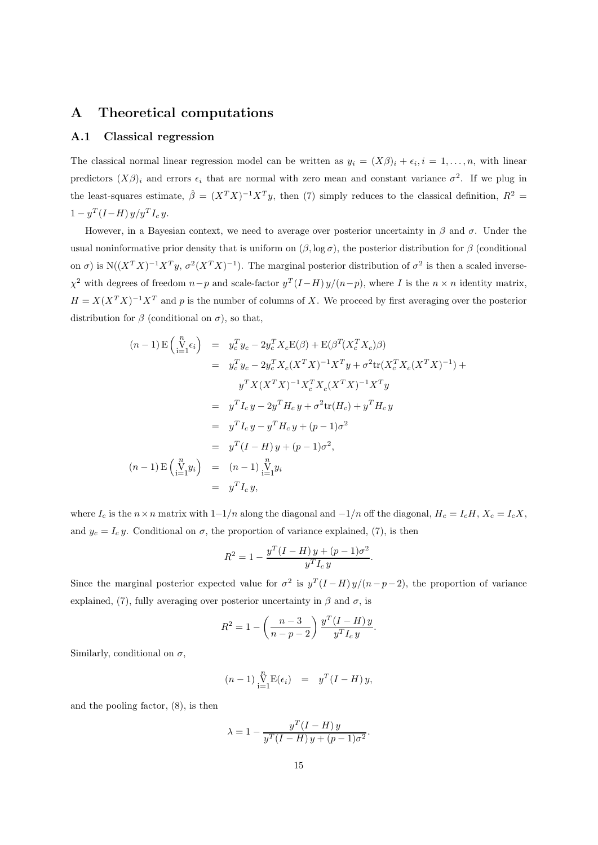## **A Theoretical computations**

## **A.1 Classical regression**

The classical normal linear regression model can be written as  $y_i = (X\beta)_i + \epsilon_i, i = 1,\ldots,n$ , with linear predictors  $(X\beta)_i$  and errors  $\epsilon_i$  that are normal with zero mean and constant variance  $\sigma^2$ . If we plug in the least-squares estimate,  $\hat{\beta} = (X^T X)^{-1} X^T y$ , then (7) simply reduces to the classical definition,  $R^2 =$  $1 - y^T (I - H) y / y^T I_c y.$ 

However, in a Bayesian context, we need to average over posterior uncertainty in  $\beta$  and  $\sigma$ . Under the usual noninformative prior density that is uniform on  $(\beta, \log \sigma)$ , the posterior distribution for  $\beta$  (conditional on  $\sigma$ ) is N( $(X^TX)^{-1}X^Ty$ ,  $\sigma^2(X^TX)^{-1}$ ). The marginal posterior distribution of  $\sigma^2$  is then a scaled inverse- $\chi^2$  with degrees of freedom  $n-p$  and scale-factor  $y^T(I-H) y/(n-p)$ , where I is the  $n \times n$  identity matrix,  $H = X(X^T X)^{-1} X^T$  and p is the number of columns of X. We proceed by first averaging over the posterior distribution for  $\beta$  (conditional on  $\sigma$ ), so that,

$$
(n-1) \mathbf{E} \begin{pmatrix} n \\ i=1 \end{pmatrix} = y_c^T y_c - 2y_c^T X_c \mathbf{E}(\beta) + \mathbf{E}(\beta^T (X_c^T X_c) \beta)
$$
  
\n
$$
= y_c^T y_c - 2y_c^T X_c (X^T X)^{-1} X^T y + \sigma^2 \text{tr}(X_c^T X_c (X^T X)^{-1}) +
$$
  
\n
$$
y^T X (X^T X)^{-1} X_c^T X_c (X^T X)^{-1} X^T y
$$
  
\n
$$
= y^T I_c y - 2y^T H_c y + \sigma^2 \text{tr}(H_c) + y^T H_c y
$$
  
\n
$$
= y^T I_c y - y^T H_c y + (p-1)\sigma^2
$$
  
\n
$$
= y^T (I - H) y + (p - 1)\sigma^2,
$$
  
\n
$$
(n-1) \mathbf{E} \begin{pmatrix} n \\ i=1 \end{pmatrix} = (n-1) \sum_{i=1}^n y_i
$$
  
\n
$$
= y^T I_c y,
$$

where  $I_c$  is the  $n \times n$  matrix with  $1-\frac{1}{n}$  along the diagonal and  $-\frac{1}{n}$  off the diagonal,  $H_c = I_c H$ ,  $X_c = I_c X$ , and  $y_c = I_c y$ . Conditional on  $\sigma$ , the proportion of variance explained, (7), is then

$$
R^{2} = 1 - \frac{y^{T}(I - H)y + (p - 1)\sigma^{2}}{y^{T}I_{c}y}.
$$

Since the marginal posterior expected value for  $\sigma^2$  is  $y^T(I-H)y/(n-p-2)$ , the proportion of variance explained, (7), fully averaging over posterior uncertainty in  $\beta$  and  $\sigma$ , is

$$
R^{2} = 1 - \left(\frac{n-3}{n-p-2}\right) \frac{y^{T} (I - H) y}{y^{T} I_{c} y}.
$$

Similarly, conditional on  $\sigma$ ,

$$
(n-1)\prod_{i=1}^{n} E(\epsilon_i) = y^T(I-H) y,
$$

and the pooling factor, (8), is then

$$
\lambda = 1 - \frac{y^T (I - H) y}{y^T (I - H) y + (p - 1) \sigma^2}.
$$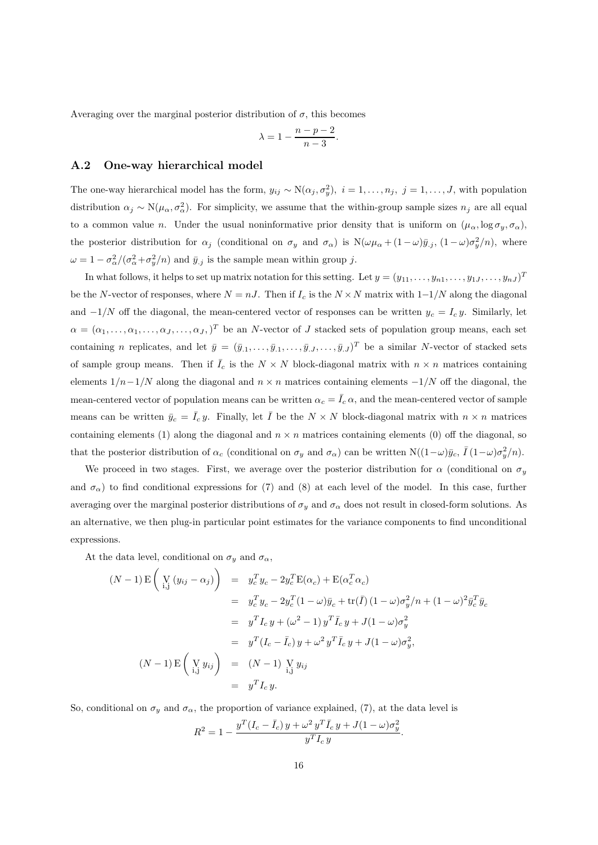Averaging over the marginal posterior distribution of  $\sigma$ , this becomes

$$
\lambda = 1 - \frac{n - p - 2}{n - 3}.
$$

#### **A.2 One-way hierarchical model**

The one-way hierarchical model has the form,  $y_{ij} \sim N(\alpha_j, \sigma_y^2)$ ,  $i = 1, \ldots, n_j$ ,  $j = 1, \ldots, J$ , with population distribution  $\alpha_j \sim N(\mu_\alpha, \sigma_\alpha^2)$ . For simplicity, we assume that the within-group sample sizes  $n_j$  are all equal to a common value n. Under the usual noninformative prior density that is uniform on  $(\mu_{\alpha}, \log \sigma_y, \sigma_{\alpha})$ , the posterior distribution for  $\alpha_j$  (conditional on  $\sigma_y$  and  $\sigma_\alpha$ ) is  $N(\omega\mu_\alpha+(1-\omega)\bar{y}_{.j}, (1-\omega)\sigma_y^2/n)$ , where  $\omega = 1 - \sigma_{\alpha}^2/(\sigma_{\alpha}^2 + \sigma_y^2/n)$  and  $\bar{y}_{.j}$  is the sample mean within group j.

In what follows, it helps to set up matrix notation for this setting. Let  $y = (y_{11}, \ldots, y_{n1}, \ldots, y_{1J}, \ldots, y_{nJ})^T$ be the N-vector of responses, where  $N = nJ$ . Then if  $I_c$  is the  $N \times N$  matrix with  $1-\frac{1}{N}$  along the diagonal and  $-1/N$  off the diagonal, the mean-centered vector of responses can be written  $y_c = I_c y$ . Similarly, let  $\alpha = (\alpha_1, \ldots, \alpha_1, \ldots, \alpha_J, \ldots, \alpha_J, )^T$  be an N-vector of J stacked sets of population group means, each set containing n replicates, and let  $\bar{y} = (\bar{y}_{.1}, \ldots, \bar{y}_{.1}, \ldots, \bar{y}_{.J}, \ldots, \bar{y}_{.J})^T$  be a similar N-vector of stacked sets of sample group means. Then if  $\overline{I}_c$  is the  $N \times N$  block-diagonal matrix with  $n \times n$  matrices containing elements  $1/n-1/N$  along the diagonal and  $n \times n$  matrices containing elements  $-1/N$  off the diagonal, the mean-centered vector of population means can be written  $\alpha_c = \overline{I}_c \alpha$ , and the mean-centered vector of sample means can be written  $\bar{y}_c = \bar{I}_c y$ . Finally, let  $\bar{I}$  be the  $N \times N$  block-diagonal matrix with  $n \times n$  matrices containing elements (1) along the diagonal and  $n \times n$  matrices containing elements (0) off the diagonal, so that the posterior distribution of  $\alpha_c$  (conditional on  $\sigma_y$  and  $\sigma_\alpha$ ) can be written N( $(1-\omega)\bar{y}_c$ ,  $\bar{I}(1-\omega)\sigma_y^2/n$ ).

We proceed in two stages. First, we average over the posterior distribution for  $\alpha$  (conditional on  $\sigma_y$ and  $\sigma_{\alpha}$ ) to find conditional expressions for (7) and (8) at each level of the model. In this case, further averaging over the marginal posterior distributions of  $\sigma_y$  and  $\sigma_\alpha$  does not result in closed-form solutions. As an alternative, we then plug-in particular point estimates for the variance components to find unconditional expressions.

At the data level, conditional on  $\sigma_y$  and  $\sigma_\alpha$ ,

$$
(N-1) \mathbf{E} \left( \mathbf{V}_{i,j} (y_{ij} - \alpha_j) \right) = y_c^T y_c - 2y_c^T \mathbf{E}(\alpha_c) + \mathbf{E}(\alpha_c^T \alpha_c)
$$
  
\n
$$
= y_c^T y_c - 2y_c^T (1 - \omega) \bar{y}_c + \text{tr}(\bar{I}) (1 - \omega) \sigma_y^2 / n + (1 - \omega)^2 \bar{y}_c^T \bar{y}_c
$$
  
\n
$$
= y^T I_c y + (\omega^2 - 1) y^T \bar{I}_c y + J(1 - \omega) \sigma_y^2
$$
  
\n
$$
= y^T (I_c - \bar{I}_c) y + \omega^2 y^T \bar{I}_c y + J(1 - \omega) \sigma_y^2,
$$
  
\n
$$
(N-1) \mathbf{E} \left( \mathbf{V}_{i,j} y_{ij} \right) = (N-1) \mathbf{V}_{i,j} y_{ij}
$$
  
\n
$$
= y^T I_c y.
$$

So, conditional on  $\sigma_y$  and  $\sigma_\alpha$ , the proportion of variance explained, (7), at the data level is

$$
R^{2} = 1 - \frac{y^{T}(I_{c} - \bar{I}_{c})y + \omega^{2} y^{T} \bar{I}_{c} y + J(1 - \omega)\sigma_{y}^{2}}{y^{T} I_{c} y}.
$$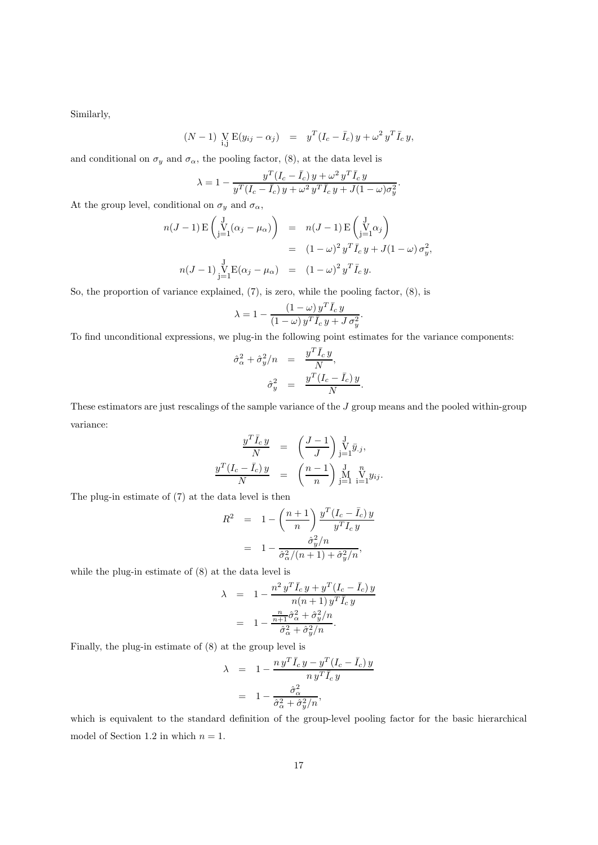Similarly,

$$
(N-1) \underset{\text{i,j}}{\text{V}} \text{E}(y_{ij} - \alpha_j) = y^T (I_c - \bar{I}_c) y + \omega^2 y^T \bar{I}_c y,
$$

and conditional on  $\sigma_y$  and  $\sigma_\alpha$ , the pooling factor, (8), at the data level is

$$
\lambda = 1 - \frac{y^T (I_c - \bar{I}_c) y + \omega^2 y^T \bar{I}_c y}{y^T (I_c - \bar{I}_c) y + \omega^2 y^T \bar{I}_c y + J(1 - \omega) \sigma_y^2}.
$$

At the group level, conditional on  $\sigma_y$  and  $\sigma_\alpha$ ,

$$
n(J-1) \mathbf{E} \begin{pmatrix} J \\ j=1 \end{pmatrix} (\alpha_j - \mu_\alpha) = n(J-1) \mathbf{E} \begin{pmatrix} J \\ j=1 \end{pmatrix}
$$
  
=  $(1 - \omega)^2 y^T \overline{I}_c y + J(1 - \omega) \sigma_y^2$ ,  

$$
n(J-1) \sum_{j=1}^J \mathbf{E} (\alpha_j - \mu_\alpha) = (1 - \omega)^2 y^T \overline{I}_c y.
$$

So, the proportion of variance explained, (7), is zero, while the pooling factor, (8), is

$$
\lambda = 1 - \frac{(1 - \omega) y^T \bar{I}_c y}{(1 - \omega) y^T \bar{I}_c y + J \sigma_y^2}.
$$

To find unconditional expressions, we plug-in the following point estimates for the variance components:

$$
\begin{array}{rcl}\n\hat{\sigma}_{\alpha}^2 + \hat{\sigma}_{y}^2/n & = & \frac{y^T \bar{I}_c \, y}{N}, \\
\hat{\sigma}_{y}^2 & = & \frac{y^T (I_c - \bar{I}_c) \, y}{N}.\n\end{array}
$$

These estimators are just rescalings of the sample variance of the J group means and the pooled within-group variance:

$$
\frac{y^T \bar{I}_c y}{N} = \left(\frac{J-1}{J}\right) \sum_{j=1}^J \bar{y}_{.j},
$$

$$
\frac{y^T (I_c - \bar{I}_c) y}{N} = \left(\frac{n-1}{n}\right) \sum_{j=1}^J \sum_{i=1}^n y_{ij}.
$$

The plug-in estimate of (7) at the data level is then

$$
R^2 = 1 - \left(\frac{n+1}{n}\right) \frac{y^T (I_c - \bar{I}_c) y}{y^T I_c y}
$$

$$
= 1 - \frac{\hat{\sigma}_y^2 / n}{\hat{\sigma}_\alpha^2 / (n+1) + \hat{\sigma}_y^2 / n},
$$

while the plug-in estimate of (8) at the data level is

$$
\lambda = 1 - \frac{n^2 y^T \bar{I}_c y + y^T (I_c - \bar{I}_c) y}{n(n+1) y^T \bar{I}_c y} \n= 1 - \frac{\frac{n}{n+1} \hat{\sigma}_{\alpha}^2 + \hat{\sigma}_{y}^2 / n}{\hat{\sigma}_{\alpha}^2 + \hat{\sigma}_{y}^2 / n}.
$$

Finally, the plug-in estimate of (8) at the group level is

$$
\lambda = 1 - \frac{n y^T \bar{I}_c y - y^T (I_c - \bar{I}_c) y}{n y^T \bar{I}_c y}
$$

$$
= 1 - \frac{\hat{\sigma}_\alpha^2}{\hat{\sigma}_\alpha^2 + \hat{\sigma}_y^2/n},
$$

which is equivalent to the standard definition of the group-level pooling factor for the basic hierarchical model of Section 1.2 in which  $n = 1$ .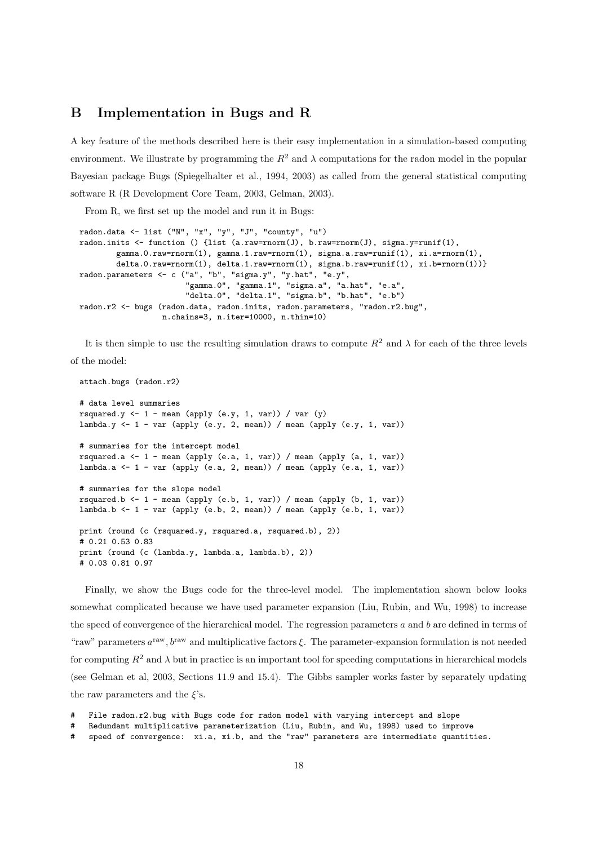## **B Implementation in Bugs and R**

A key feature of the methods described here is their easy implementation in a simulation-based computing environment. We illustrate by programming the  $R^2$  and  $\lambda$  computations for the radon model in the popular Bayesian package Bugs (Spiegelhalter et al., 1994, 2003) as called from the general statistical computing software R (R Development Core Team, 2003, Gelman, 2003).

From R, we first set up the model and run it in Bugs:

```
radon.data <- list ("N", "x", "y", "J", "county", "u")
radon.inits <- function () {list (a.raw=rnorm(J), b.raw=rnorm(J), sigma.y=runif(1),
        gamma.0.raw=rnorm(1), gamma.1.raw=rnorm(1), sigma.a.raw=runif(1), xi.a=rnorm(1),
        delta.0.raw=rnorm(1), delta.1.raw=rnorm(1), sigma.b.raw=runif(1), xi.b=rnorm(1))}
radon.parameters <- c ("a", "b", "sigma.y", "y.hat", "e.y",
                       "gamma.0", "gamma.1", "sigma.a", "a.hat", "e.a",
                       "delta.0", "delta.1", "sigma.b", "b.hat", "e.b")
radon.r2 <- bugs (radon.data, radon.inits, radon.parameters, "radon.r2.bug",
                  n.chains=3, n.iter=10000, n.thin=10)
```
It is then simple to use the resulting simulation draws to compute  $R^2$  and  $\lambda$  for each of the three levels of the model:

```
attach.bugs (radon.r2)
# data level summaries
rsquared.y \leftarrow 1 - mean (apply (e.y, 1, var)) / var (y)
lambda.y \leftarrow 1 - var (apply (e.y, 2, mean)) / mean (apply (e.y, 1, var))
# summaries for the intercept model
rsquared.a \leq 1 - mean (apply (e.a, 1, var)) / mean (apply (a, 1, var))
lambda.a <- 1 - var (apply (e.a, 2, mean)) / mean (apply (e.a, 1, var))
# summaries for the slope model
rsquared.b <- 1 - mean (apply (e.b, 1, var)) / mean (apply (b, 1, var))
lambda.b \leftarrow 1 - var (apply (e.b, 2, mean)) / mean (apply (e.b, 1, var))
print (round (c (rsquared.y, rsquared.a, rsquared.b), 2))
# 0.21 0.53 0.83
print (round (c (lambda.y, lambda.a, lambda.b), 2))
# 0.03 0.81 0.97
```
Finally, we show the Bugs code for the three-level model. The implementation shown below looks somewhat complicated because we have used parameter expansion (Liu, Rubin, and Wu, 1998) to increase the speed of convergence of the hierarchical model. The regression parameters  $a$  and  $b$  are defined in terms of "raw" parameters  $a^{raw}$ ,  $b^{raw}$  and multiplicative factors  $\xi$ . The parameter-expansion formulation is not needed for computing  $R^2$  and  $\lambda$  but in practice is an important tool for speeding computations in hierarchical models (see Gelman et al, 2003, Sections 11.9 and 15.4). The Gibbs sampler works faster by separately updating the raw parameters and the  $\xi$ 's.

File radon.r2.bug with Bugs code for radon model with varying intercept and slope

<sup>#</sup> Redundant multiplicative parameterization (Liu, Rubin, and Wu, 1998) used to improve

<sup>#</sup> speed of convergence: xi.a, xi.b, and the "raw" parameters are intermediate quantities.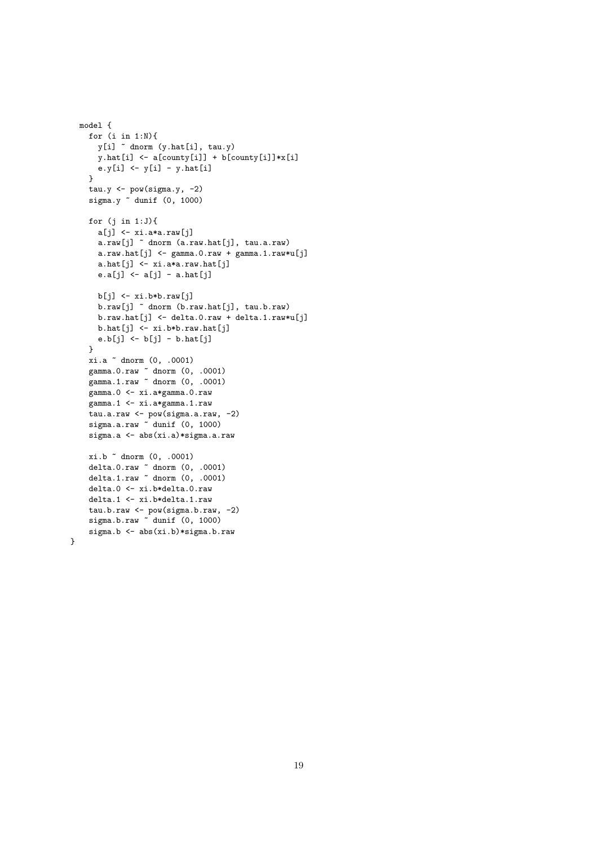```
model {
  for (i in 1:N){
    y[i] ~ dnorm (y.hat[i], tau.y)
    y.hat[i] <- a[county[i]] + b[county[i]]*x[i]
    e.y[i] \leftarrow y[i] - y.hat[i]
  }
  tau.y \leftarrow pow(sigma.y, -2)
  sigma.y ~ dunif (0, 1000)
  for (j in 1:J){
   a[j] <- xi.a*a.raw[j]
    a.raw[j] ~ dnorm (a.raw.hat[j], tau.a.raw)
    a.raw.hat[j] <- gamma.o.raw + gamma.l.raw*u[j]a.hat[j] <- xi.a*a.raw.hat[j]e.a[j] <- a[j] - a.hat[j]b[j] <- xi.b*b.raw[j]
    b.raw[j] ~ dnorm (b.raw.hat[j], tau.b.raw)
    b.raw.hat[j] <- delta.0.raw + delta.1.raw*u[j]
    b.hat[j] <- xi.b*b.raw.hat[j]
    e.b[j] <- b[j] - b.hat[j]}
  xi.a ~ dnorm (0, .0001)
  gamma.0.raw ~ dnorm (0, .0001)
  gamma.1.raw ~ dnorm (0, .0001)
  gamma.0 <- xi.a*gamma.0.raw
  gamma.1 <- xi.a*gamma.1.raw
  tau.a.raw <- pow(sigma.a.raw, -2)
  sigma.a.raw dunif (0, 1000)
  sigma.a <- abs(xi.a)*sigma.a.raw
  xi.b ~ dnorm (0, .0001)
  delta.0.raw ~ dnorm (0, .0001)
  delta.1.raw ~ dnorm (0, .0001)
  delta.0 <- xi.b*delta.0.raw
  delta.1 <- xi.b*delta.1.raw
  tau.b.raw <- pow(sigma.b.raw, -2)
  sigma.b.raw ~ dunif (0, 1000)
  sigma.b <- abs(xi.b)*sigma.b.raw
```

```
}
```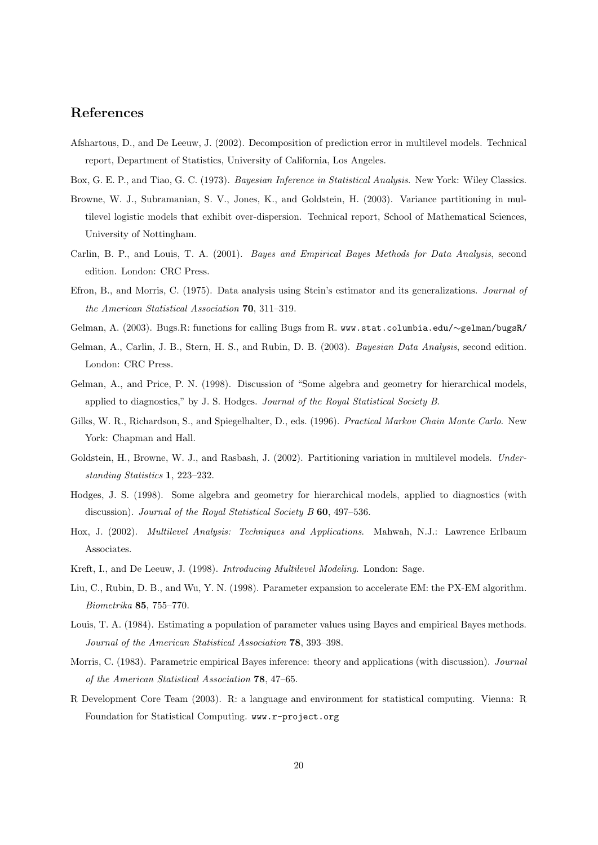## **References**

Afshartous, D., and De Leeuw, J. (2002). Decomposition of prediction error in multilevel models. Technical report, Department of Statistics, University of California, Los Angeles.

Box, G. E. P., and Tiao, G. C. (1973). Bayesian Inference in Statistical Analysis. New York: Wiley Classics.

- Browne, W. J., Subramanian, S. V., Jones, K., and Goldstein, H. (2003). Variance partitioning in multilevel logistic models that exhibit over-dispersion. Technical report, School of Mathematical Sciences, University of Nottingham.
- Carlin, B. P., and Louis, T. A. (2001). Bayes and Empirical Bayes Methods for Data Analysis, second edition. London: CRC Press.
- Efron, B., and Morris, C. (1975). Data analysis using Stein's estimator and its generalizations. Journal of the American Statistical Association **70**, 311–319.
- Gelman, A. (2003). Bugs.R: functions for calling Bugs from R. www.stat.columbia.edu/∼gelman/bugsR/
- Gelman, A., Carlin, J. B., Stern, H. S., and Rubin, D. B. (2003). Bayesian Data Analysis, second edition. London: CRC Press.
- Gelman, A., and Price, P. N. (1998). Discussion of "Some algebra and geometry for hierarchical models, applied to diagnostics," by J. S. Hodges. Journal of the Royal Statistical Society B.
- Gilks, W. R., Richardson, S., and Spiegelhalter, D., eds. (1996). Practical Markov Chain Monte Carlo. New York: Chapman and Hall.
- Goldstein, H., Browne, W. J., and Rasbash, J. (2002). Partitioning variation in multilevel models. Understanding Statistics **1**, 223–232.
- Hodges, J. S. (1998). Some algebra and geometry for hierarchical models, applied to diagnostics (with discussion). Journal of the Royal Statistical Society B **60**, 497–536.
- Hox, J. (2002). Multilevel Analysis: Techniques and Applications. Mahwah, N.J.: Lawrence Erlbaum Associates.
- Kreft, I., and De Leeuw, J. (1998). Introducing Multilevel Modeling. London: Sage.
- Liu, C., Rubin, D. B., and Wu, Y. N. (1998). Parameter expansion to accelerate EM: the PX-EM algorithm. Biometrika **85**, 755–770.
- Louis, T. A. (1984). Estimating a population of parameter values using Bayes and empirical Bayes methods. Journal of the American Statistical Association **78**, 393–398.
- Morris, C. (1983). Parametric empirical Bayes inference: theory and applications (with discussion). Journal of the American Statistical Association **78**, 47–65.
- R Development Core Team (2003). R: a language and environment for statistical computing. Vienna: R Foundation for Statistical Computing. www.r-project.org